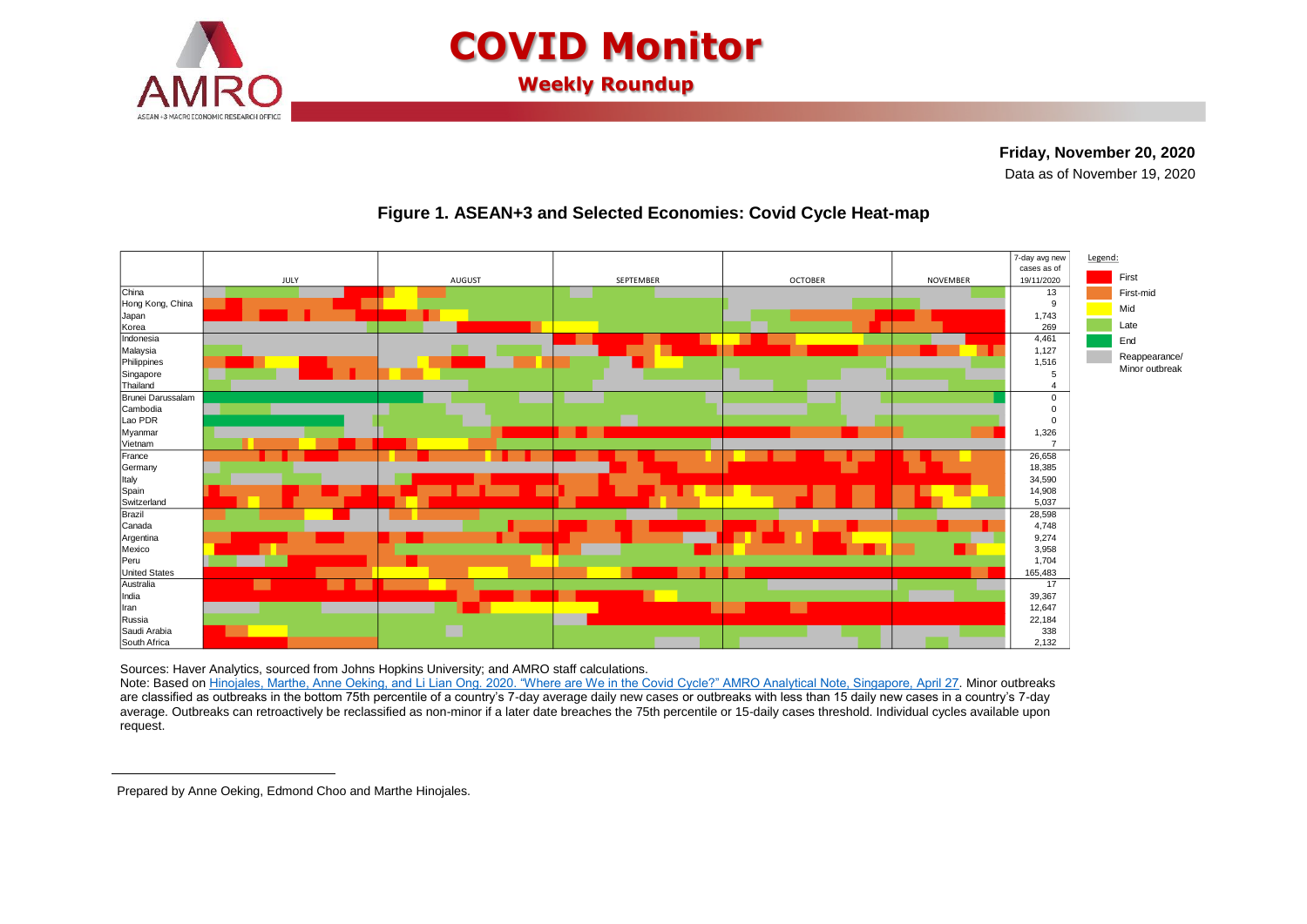

# **COVID Monitor**

**Weekly Roundup**

## **Friday, November 20, 2020**

**<sup>1</sup>**Data as of November 19, 2020



### **Figure 1. ASEAN+3 and Selected Economies: Covid Cycle Heat-map**

Sources: Haver Analytics, sourced from Johns Hopkins University; and AMRO staff calculations.

Note: Based on [Hinojales, Marthe, Anne Oeking, and Li Lian Ong. 2020. "Where are We in the Covid Cycle?" AMRO Analytical Note, Singapore, April 27.](https://www.amro-asia.org/where-are-we-in-the-covid-cycle/) Minor outbreaks are classified as outbreaks in the bottom 75th percentile of a country's 7-day average daily new cases or outbreaks with less than 15 daily new cases in a country's 7-day average. Outbreaks can retroactively be reclassified as non-minor if a later date breaches the 75th percentile or 15-daily cases threshold. Individual cycles available upon request.

 $\overline{a}$ 

Prepared by Anne Oeking, Edmond Choo and Marthe Hinojales.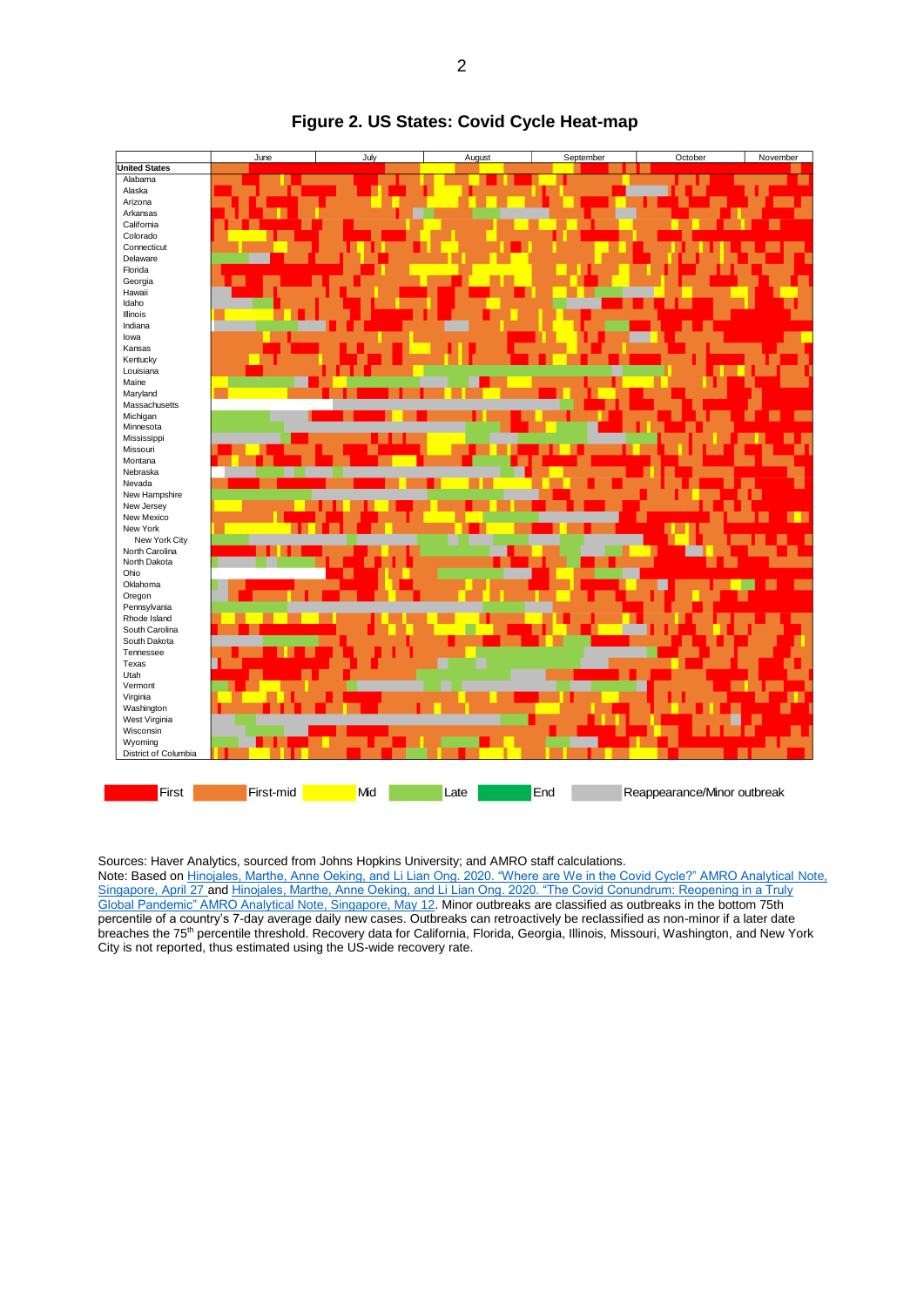

#### **Figure 2. US States: Covid Cycle Heat-map**

Sources: Haver Analytics, sourced from Johns Hopkins University; and AMRO staff calculations.

Note: Based o[n Hinojales, Marthe, Anne Oeking, and Li Lian Ong. 2020. "Where are We in the Covid Cycle?" AMRO Analytical Note,](https://www.amro-asia.org/where-are-we-in-the-covid-cycle/)  [Singapore, April 27](https://www.amro-asia.org/where-are-we-in-the-covid-cycle/) an[d Hinojales, Marthe, Anne Oeking, and Li Lian Ong. 2020. "The Covid Conundrum: Reopening in a Truly](https://www.amro-asia.org/the-covid-conundrum-reopening-in-a-truly-global-pandemic/)  [Global Pandemic" AMRO Analytical Note, Singapore, May 12.](https://www.amro-asia.org/the-covid-conundrum-reopening-in-a-truly-global-pandemic/) Minor outbreaks are classified as outbreaks in the bottom 75th percentile of a country's 7-day average daily new cases. Outbreaks can retroactively be reclassified as non-minor if a later date breaches the 75<sup>th</sup> percentile threshold. Recovery data for California, Florida, Georgia, Illinois, Missouri, Washington, and New York City is not reported, thus estimated using the US-wide recovery rate.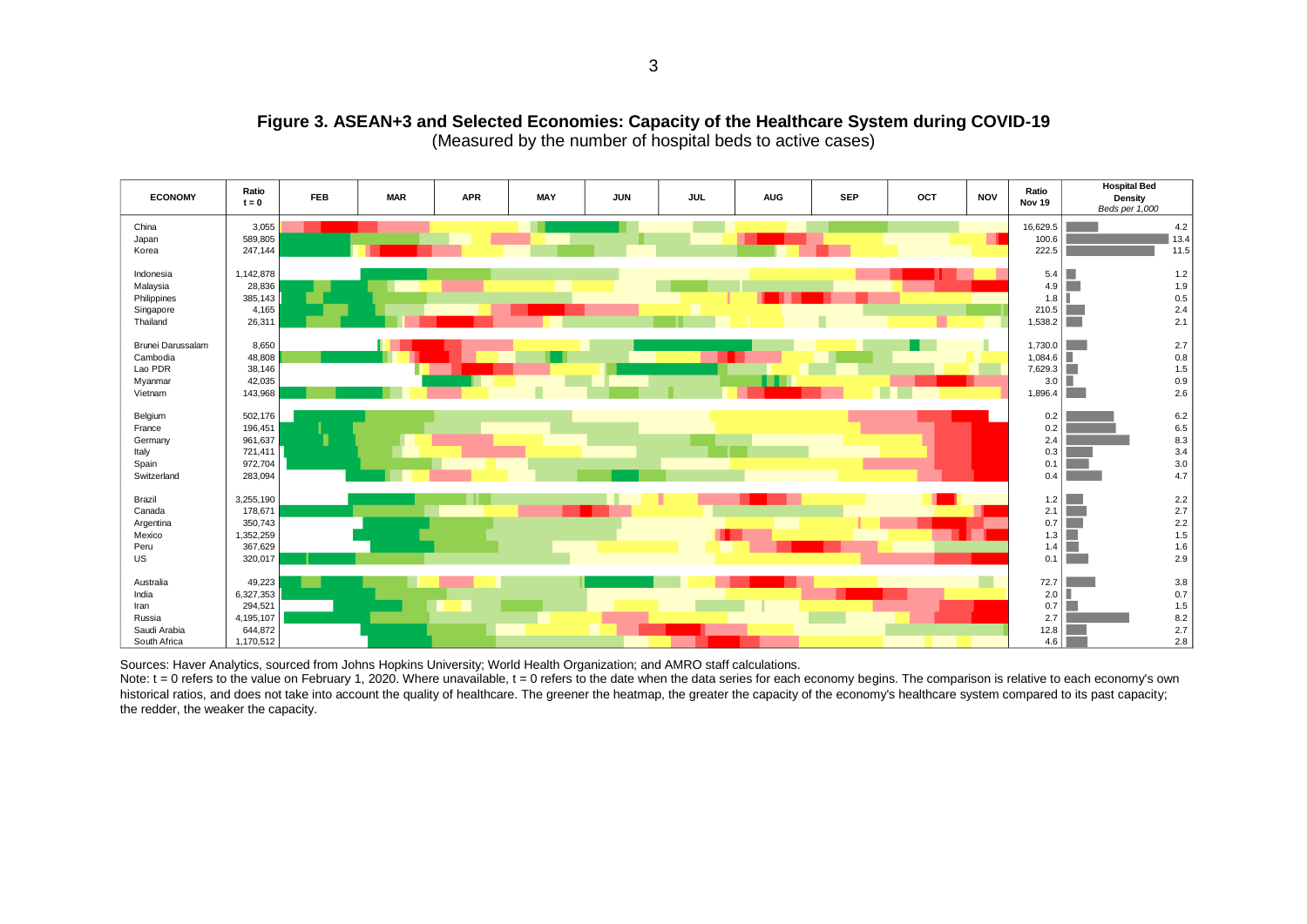

#### **Figure 3. ASEAN+3 and Selected Economies: Capacity of the Healthcare System during COVID-19** (Measured by the number of hospital beds to active cases)

Sources: Haver Analytics, sourced from Johns Hopkins University; World Health Organization; and AMRO staff calculations.

Note:  $t = 0$  refers to the value on February 1, 2020. Where unavailable,  $t = 0$  refers to the date when the data series for each economy begins. The comparison is relative to each economy's own historical ratios, and does not take into account the quality of healthcare. The greener the heatmap, the greater the capacity of the economy's healthcare system compared to its past capacity; the redder, the weaker the capacity.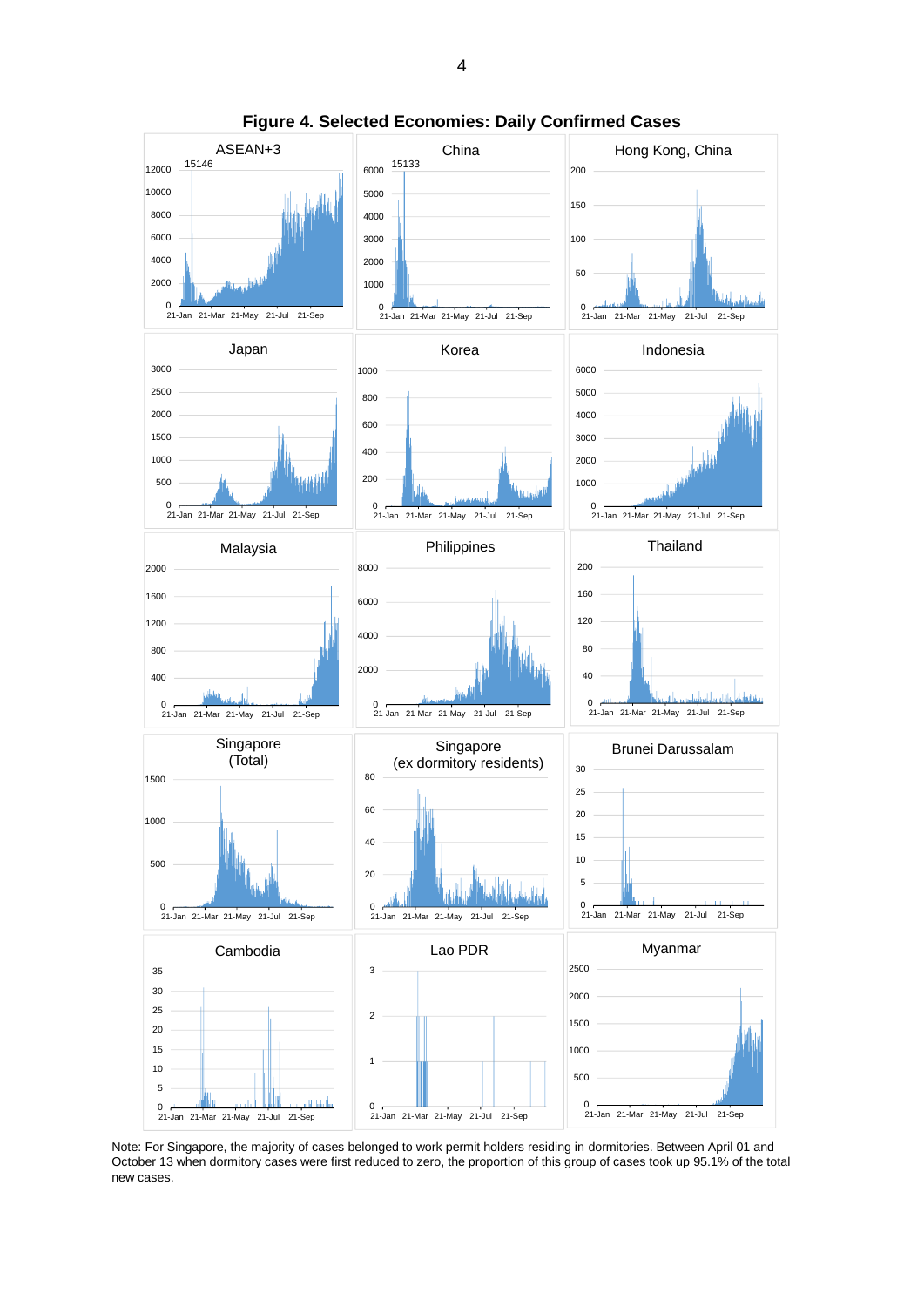

**Figure 4. Selected Economies: Daily Confirmed Cases**

Note: For Singapore, the majority of cases belonged to work permit holders residing in dormitories. Between April 01 and October 13 when dormitory cases were first reduced to zero, the proportion of this group of cases took up 95.1% of the total new cases.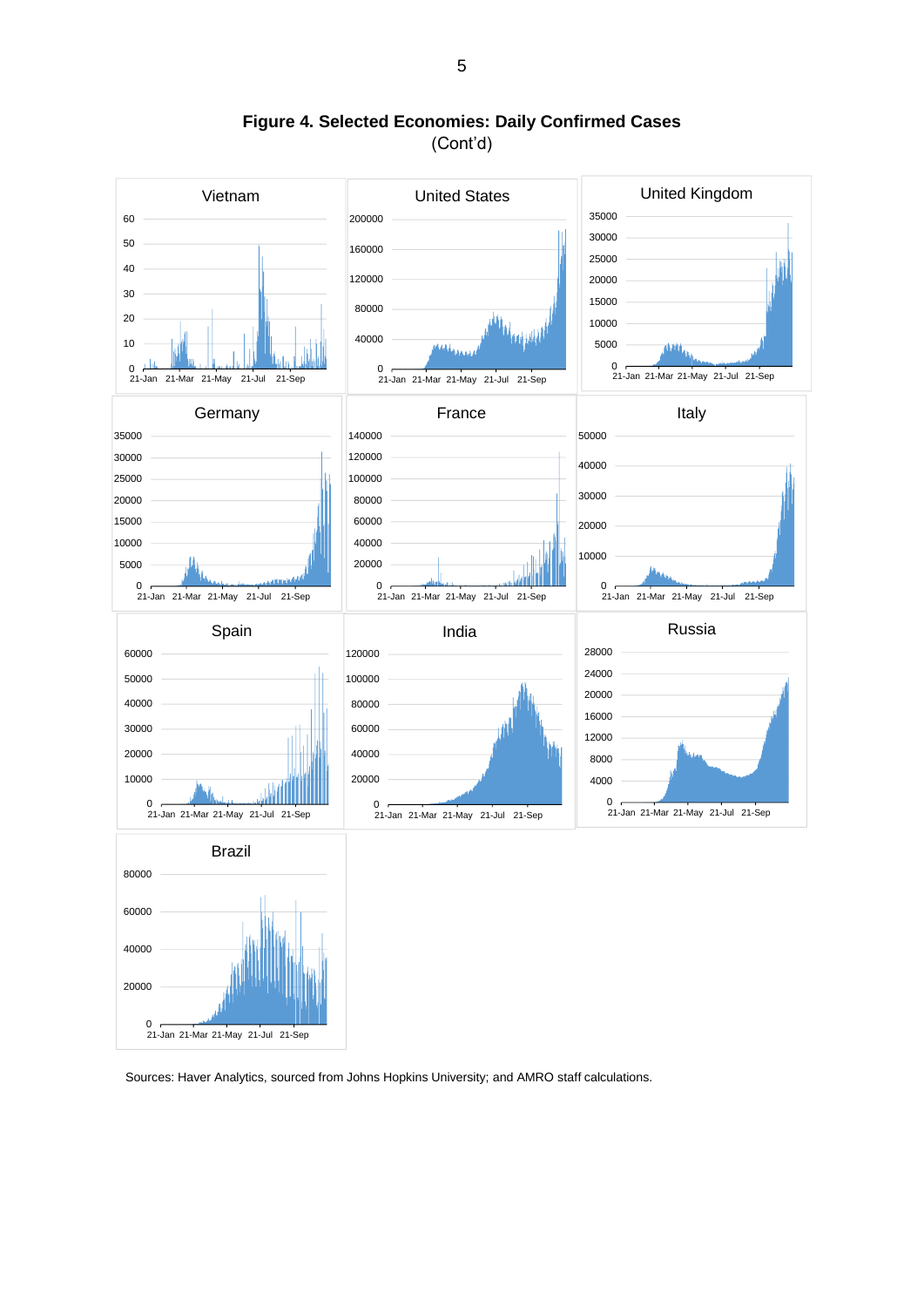

**Figure 4. Selected Economies: Daily Confirmed Cases** (Cont'd)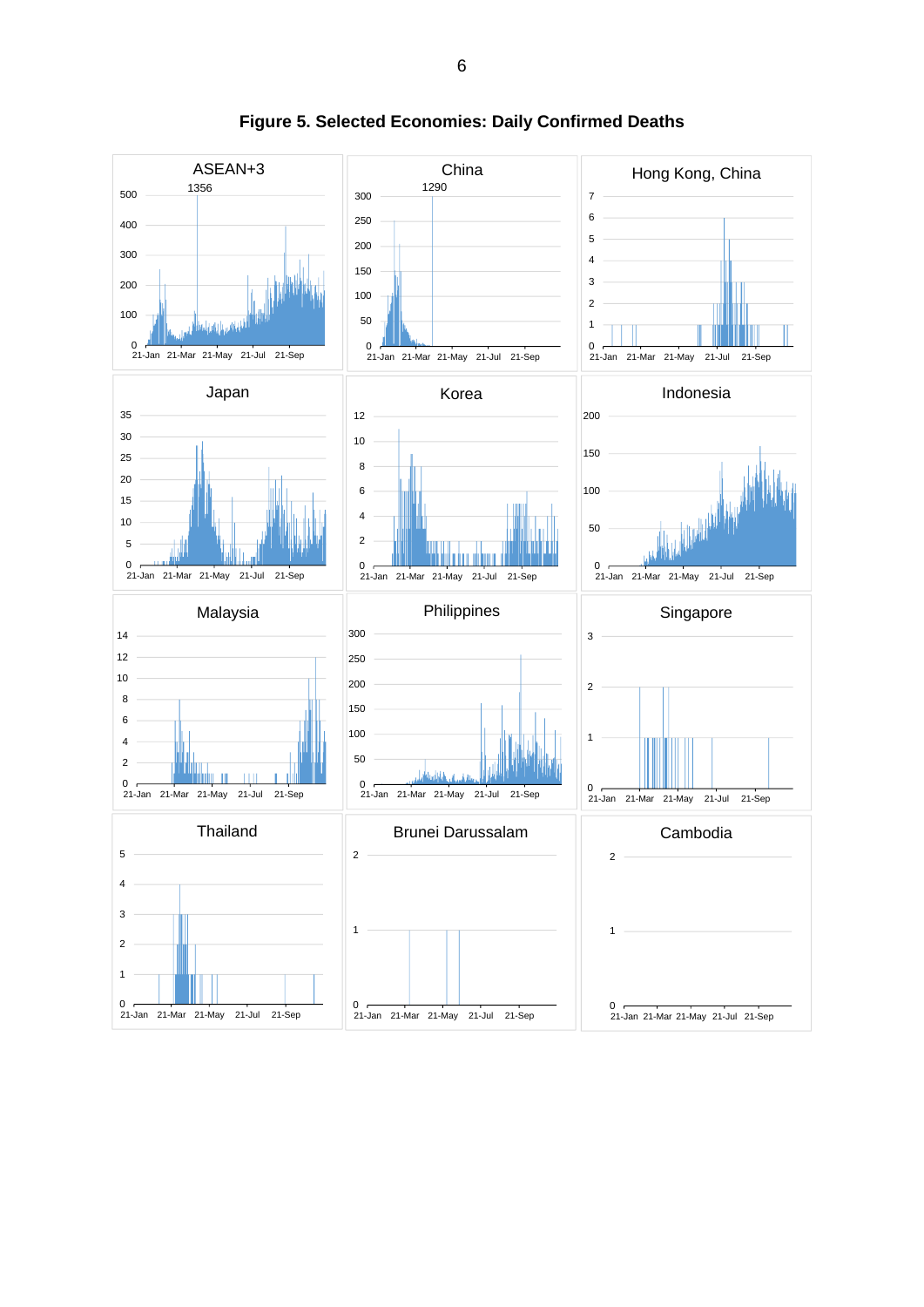

**Figure 5. Selected Economies: Daily Confirmed Deaths**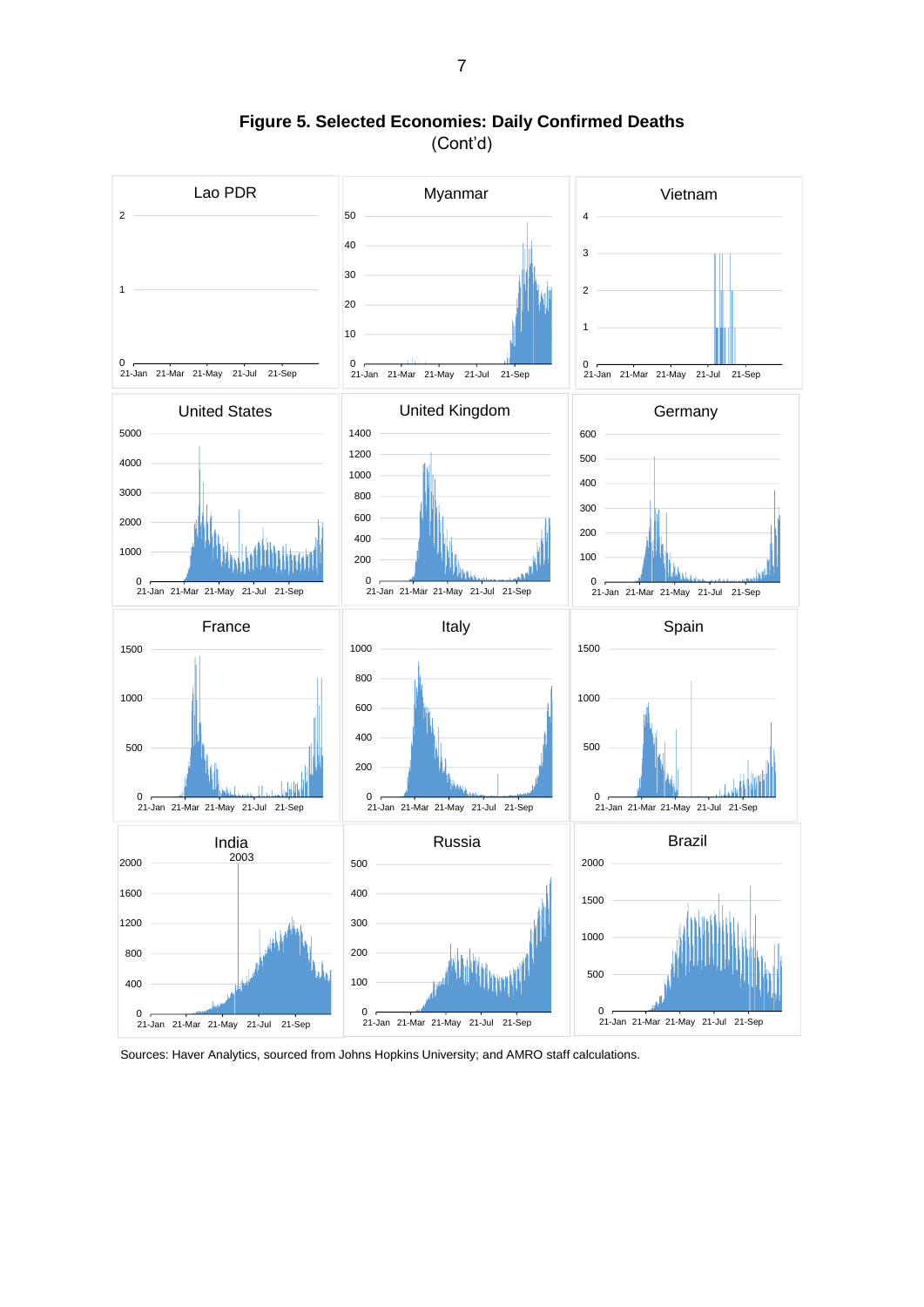

**Figure 5. Selected Economies: Daily Confirmed Deaths** (Cont'd)

Sources: Haver Analytics, sourced from Johns Hopkins University; and AMRO staff calculations.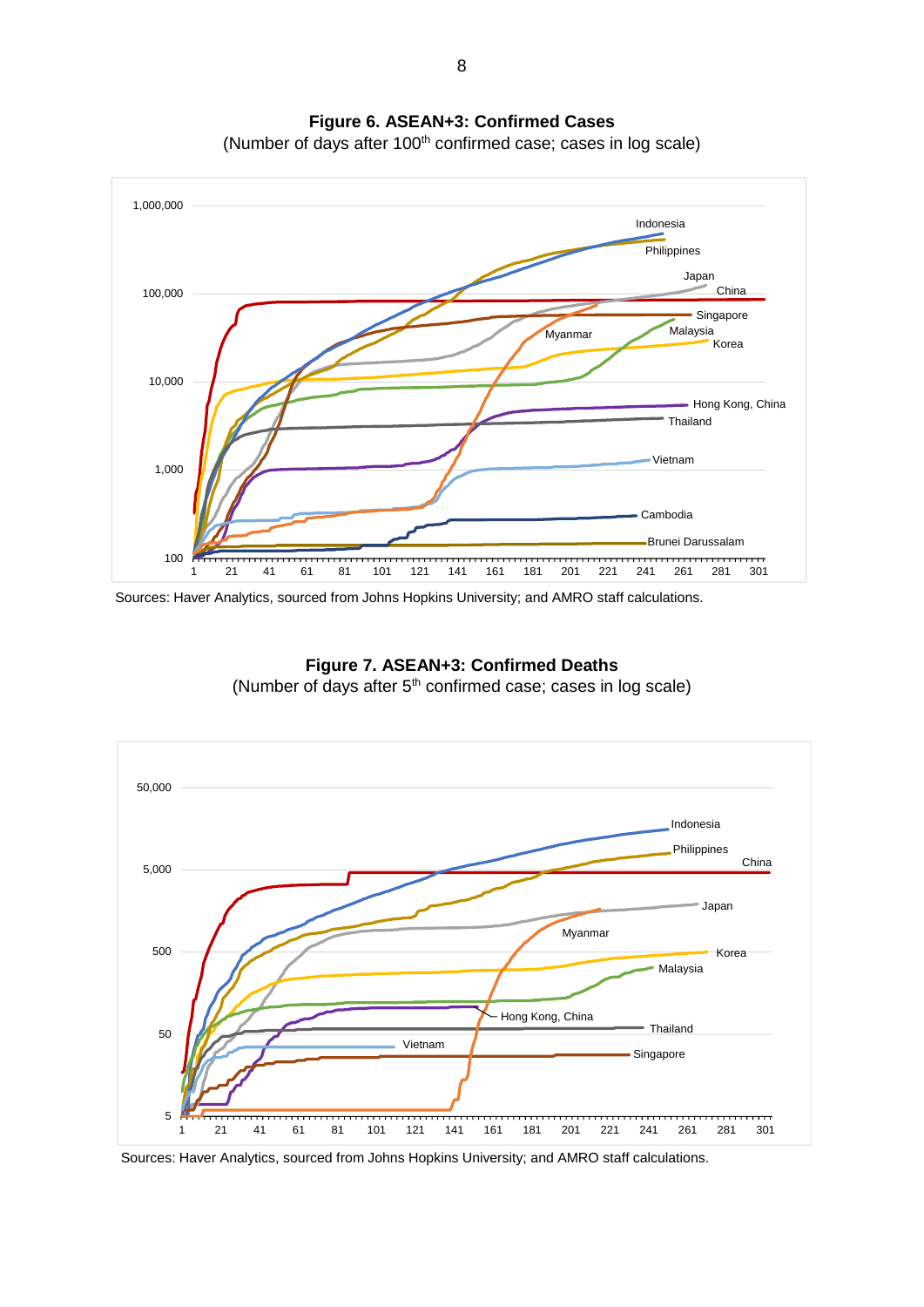

**Figure 6. ASEAN+3: Confirmed Cases**

(Number of days after 100<sup>th</sup> confirmed case; cases in log scale)

Sources: Haver Analytics, sourced from Johns Hopkins University; and AMRO staff calculations.



**Figure 7. ASEAN+3: Confirmed Deaths** (Number of days after  $5<sup>th</sup>$  confirmed case; cases in log scale)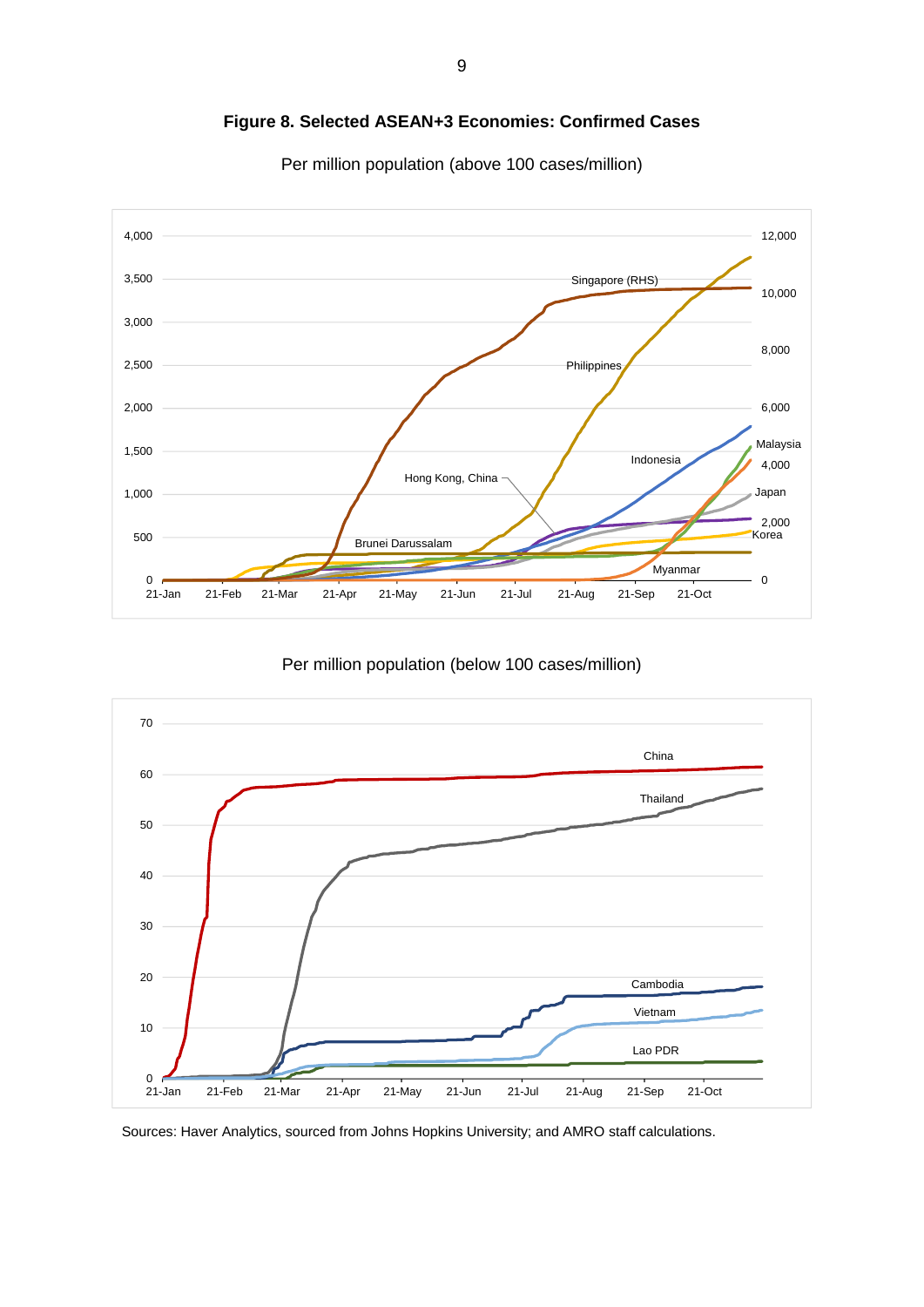

**Figure 8. Selected ASEAN+3 Economies: Confirmed Cases**

Per million population (above 100 cases/million)

Per million population (below 100 cases/million)

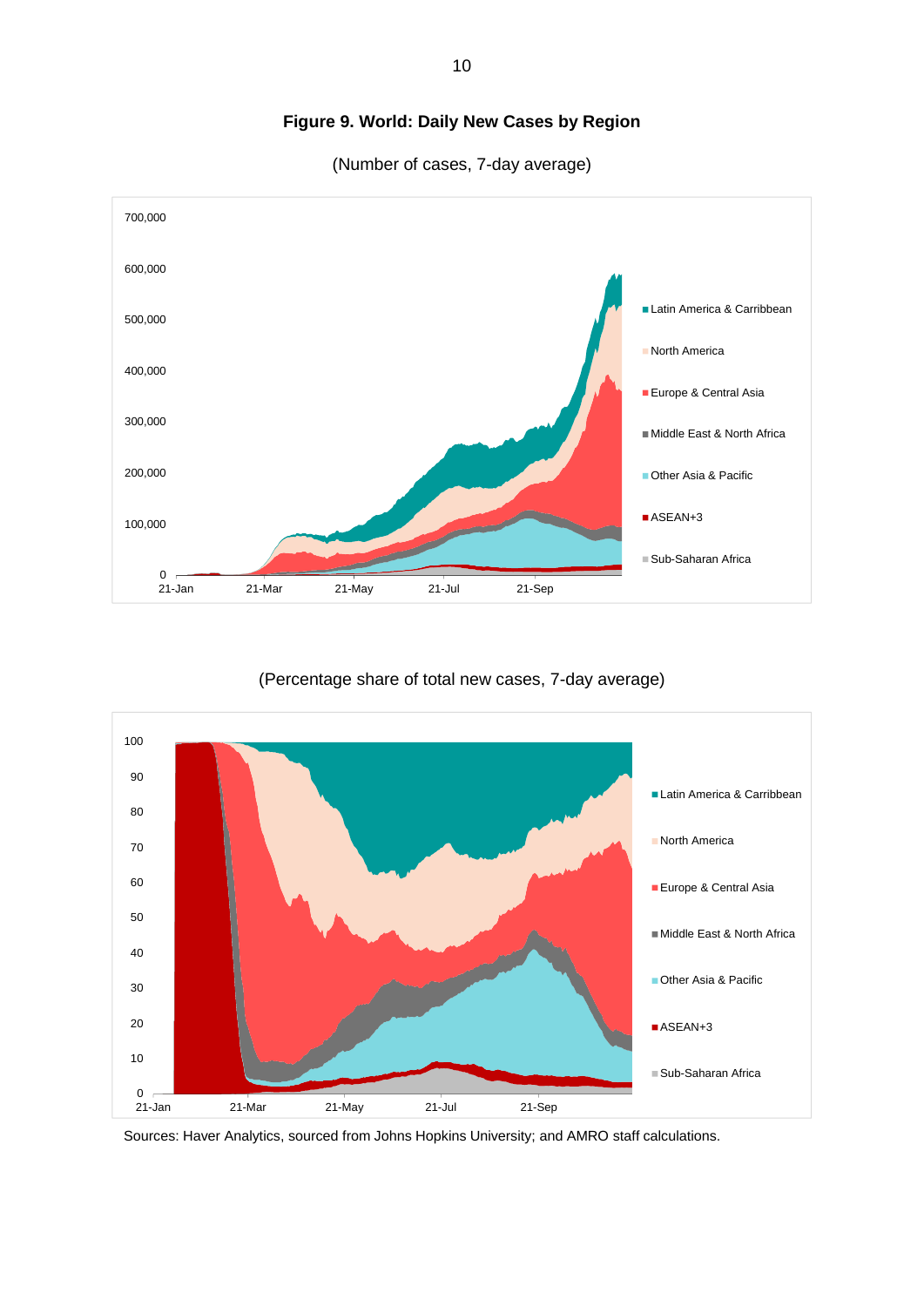

## **Figure 9. World: Daily New Cases by Region**

(Number of cases, 7-day average)

(Percentage share of total new cases, 7-day average)